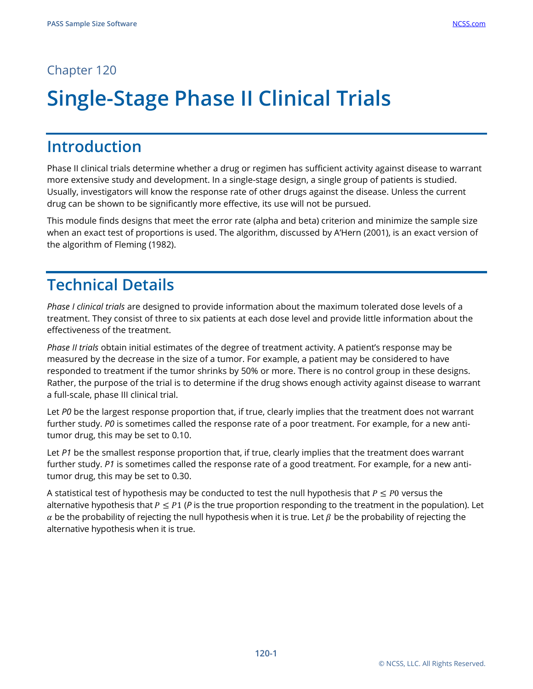## Chapter 120

# **Single-Stage Phase II Clinical Trials**

## **Introduction**

Phase II clinical trials determine whether a drug or regimen has sufficient activity against disease to warrant more extensive study and development. In a single-stage design, a single group of patients is studied. Usually, investigators will know the response rate of other drugs against the disease. Unless the current drug can be shown to be significantly more effective, its use will not be pursued.

This module finds designs that meet the error rate (alpha and beta) criterion and minimize the sample size when an exact test of proportions is used. The algorithm, discussed by A'Hern (2001), is an exact version of the algorithm of Fleming (1982).

## **Technical Details**

*Phase I clinical trials* are designed to provide information about the maximum tolerated dose levels of a treatment. They consist of three to six patients at each dose level and provide little information about the effectiveness of the treatment.

*Phase II trials* obtain initial estimates of the degree of treatment activity. A patient's response may be measured by the decrease in the size of a tumor. For example, a patient may be considered to have responded to treatment if the tumor shrinks by 50% or more. There is no control group in these designs. Rather, the purpose of the trial is to determine if the drug shows enough activity against disease to warrant a full-scale, phase III clinical trial.

Let *P0* be the largest response proportion that, if true, clearly implies that the treatment does not warrant further study. *P0* is sometimes called the response rate of a poor treatment. For example, for a new antitumor drug, this may be set to 0.10.

Let *P1* be the smallest response proportion that, if true, clearly implies that the treatment does warrant further study. *P1* is sometimes called the response rate of a good treatment. For example, for a new antitumor drug, this may be set to 0.30.

A statistical test of hypothesis may be conducted to test the null hypothesis that  $P \leq P0$  versus the alternative hypothesis that  $P \leq P1$  (P is the true proportion responding to the treatment in the population). Let  $\alpha$  be the probability of rejecting the null hypothesis when it is true. Let  $\beta$  be the probability of rejecting the alternative hypothesis when it is true.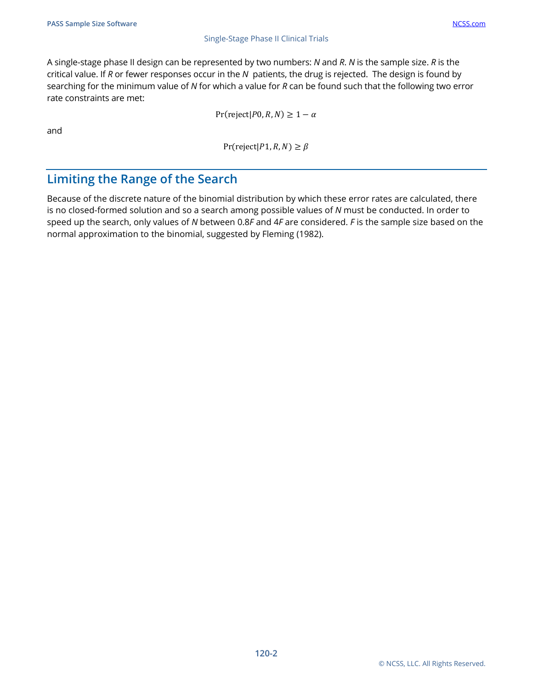#### Single-Stage Phase II Clinical Trials

A single-stage phase II design can be represented by two numbers: *N* and *R*. *N* is the sample size. *R* is the critical value. If *R* or fewer responses occur in the *N* patients, the drug is rejected. The design is found by searching for the minimum value of *N* for which a value for *R* can be found such that the following two error rate constraints are met:

 $Pr(reject|P0, R, N) \geq 1 - \alpha$ 

and

 $Pr(reject|P1, R, N) \geq \beta$ 

### **Limiting the Range of the Search**

Because of the discrete nature of the binomial distribution by which these error rates are calculated, there is no closed-formed solution and so a search among possible values of *N* must be conducted. In order to speed up the search, only values of *N* between 0.8*F* and 4*F* are considered. *F* is the sample size based on the normal approximation to the binomial, suggested by Fleming (1982).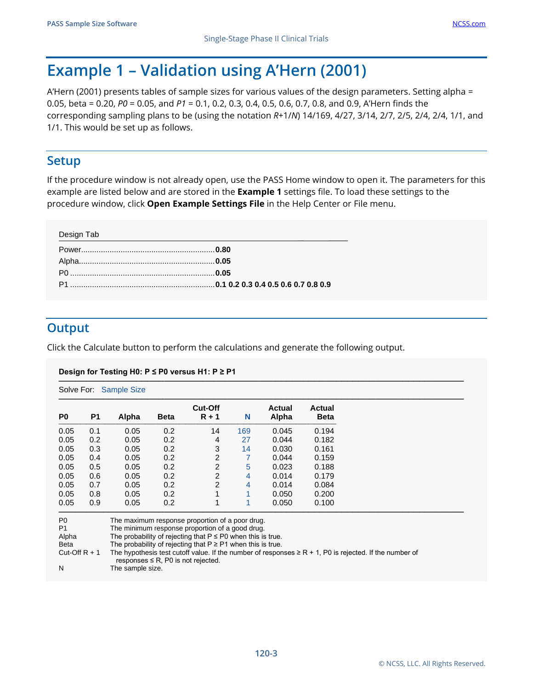## **Example 1 – Validation using A'Hern (2001)**

A'Hern (2001) presents tables of sample sizes for various values of the design parameters. Setting alpha = 0.05, beta = 0.20, *P0* = 0.05, and *P1* = 0.1, 0.2, 0.3, 0.4, 0.5, 0.6, 0.7, 0.8, and 0.9, A'Hern finds the corresponding sampling plans to be (using the notation *R+*1/*N*) 14/169, 4/27, 3/14, 2/7, 2/5, 2/4, 2/4, 1/1, and 1/1. This would be set up as follows.

### **Setup**

If the procedure window is not already open, use the PASS Home window to open it. The parameters for this example are listed below and are stored in the **Example 1** settings file. To load these settings to the procedure window, click **Open Example Settings File** in the Help Center or File menu.

| Design Tab |  |
|------------|--|
|            |  |
|            |  |
|            |  |
|            |  |
|            |  |

## **Output**

Click the Calculate button to perform the calculations and generate the following output.

### **Design for Testing H0: P ≤ P0 versus H1: P ≥ P1**

| P <sub>0</sub> | P <sub>1</sub> | Alpha | <b>Beta</b> | <b>Cut-Off</b><br>$R + 1$ | N   | <b>Actual</b><br>Alpha | Actual<br><b>Beta</b> |
|----------------|----------------|-------|-------------|---------------------------|-----|------------------------|-----------------------|
| 0.05           | 0.1            | 0.05  | 0.2         | 14                        | 169 | 0.045                  | 0.194                 |
| 0.05           | 0.2            | 0.05  | 0.2         | 4                         | 27  | 0.044                  | 0.182                 |
| 0.05           | 0.3            | 0.05  | 0.2         | 3                         | 14  | 0.030                  | 0.161                 |
| 0.05           | 0.4            | 0.05  | 0.2         | 2                         | 7   | 0.044                  | 0.159                 |
| 0.05           | 0.5            | 0.05  | 0.2         | 2                         | 5   | 0.023                  | 0.188                 |
| 0.05           | 0.6            | 0.05  | 0.2         | 2                         | 4   | 0.014                  | 0.179                 |
| 0.05           | 0.7            | 0.05  | 0.2         | 2                         | 4   | 0.014                  | 0.084                 |
| 0.05           | 0.8            | 0.05  | 0.2         |                           | 1   | 0.050                  | 0.200                 |
| 0.05           | 0.9            | 0.05  | 0.2         |                           |     | 0.050                  | 0.100                 |

Beta The probability of rejecting that  $P \ge P1$  when this is true.

Cut-Off R + 1 The hypothesis test cutoff value. If the number of responses  $\geq$  R + 1, P0 is rejected. If the number of responses  $\leq$  R, P0 is not rejected.

N The sample size.